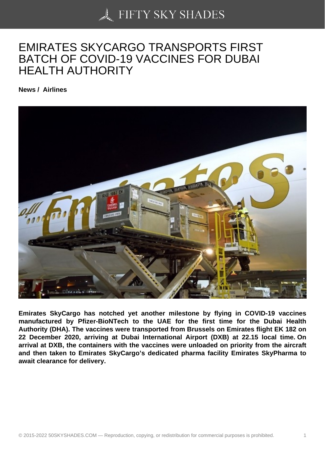## [EMIRATES SKYCARG](https://50skyshades.com)O TRANSPORTS FIRST BATCH OF COVID-19 VACCINES FOR DUBAI HEALTH AUTHORITY

News / Airlines

Emirates SkyCargo has notched yet another milestone by flying in COVID-19 vaccines manufactured by Pfizer-BioNTech to the UAE for the first time for the Dubai Health Authority (DHA). The vaccines were transported from Brussels on Emirates flight EK 182 on 22 December 2020, arriving at Dubai International Airport (DXB) at 22.15 local time. On arrival at DXB, the containers with the vaccines were unloaded on priority from the aircraft and then taken to Emirates SkyCargo's dedicated pharma facility Emirates SkyPharma to await clearance for delivery.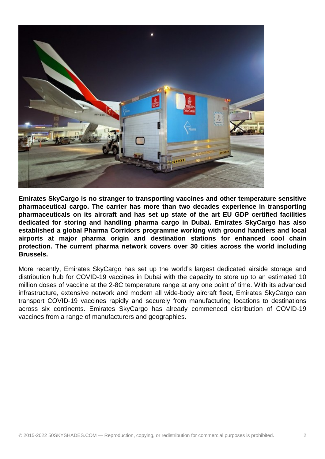

**Emirates SkyCargo is no stranger to transporting vaccines and other temperature sensitive pharmaceutical cargo. The carrier has more than two decades experience in transporting pharmaceuticals on its aircraft and has set up state of the art EU GDP certified facilities dedicated for storing and handling pharma cargo in Dubai. Emirates SkyCargo has also established a global Pharma Corridors programme working with ground handlers and local airports at major pharma origin and destination stations for enhanced cool chain protection. The current pharma network covers over 30 cities across the world including Brussels.**

More recently, Emirates SkyCargo has set up the world's largest dedicated airside storage and distribution hub for COVID-19 vaccines in Dubai with the capacity to store up to an estimated 10 million doses of vaccine at the 2-8C temperature range at any one point of time. With its advanced infrastructure, extensive network and modern all wide-body aircraft fleet, Emirates SkyCargo can transport COVID-19 vaccines rapidly and securely from manufacturing locations to destinations across six continents. Emirates SkyCargo has already commenced distribution of COVID-19 vaccines from a range of manufacturers and geographies.